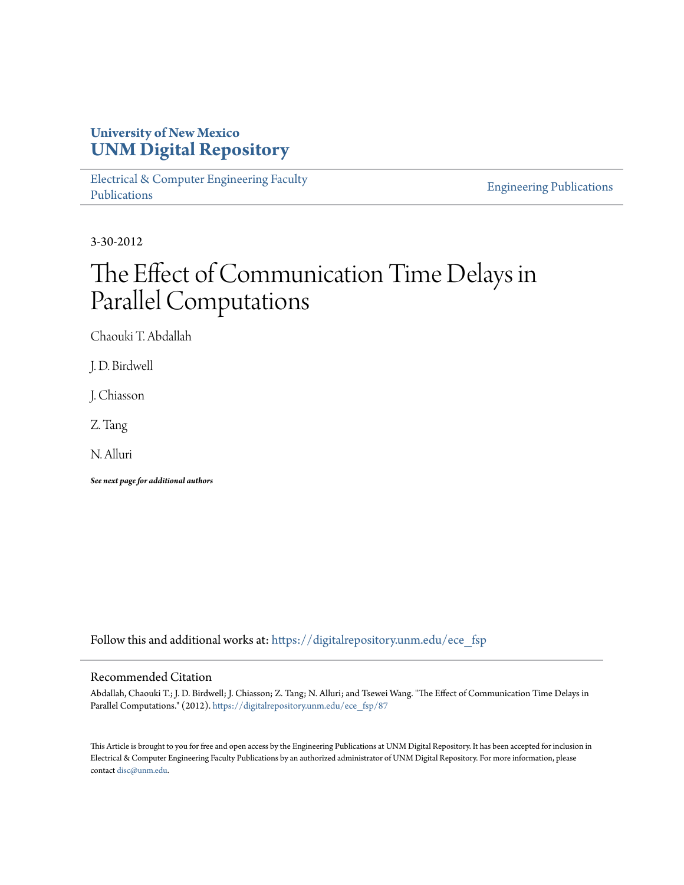# **University of New Mexico [UNM Digital Repository](https://digitalrepository.unm.edu?utm_source=digitalrepository.unm.edu%2Fece_fsp%2F87&utm_medium=PDF&utm_campaign=PDFCoverPages)**

[Electrical & Computer Engineering Faculty](https://digitalrepository.unm.edu/ece_fsp?utm_source=digitalrepository.unm.edu%2Fece_fsp%2F87&utm_medium=PDF&utm_campaign=PDFCoverPages) [Publications](https://digitalrepository.unm.edu/ece_fsp?utm_source=digitalrepository.unm.edu%2Fece_fsp%2F87&utm_medium=PDF&utm_campaign=PDFCoverPages)

[Engineering Publications](https://digitalrepository.unm.edu/eng_fsp?utm_source=digitalrepository.unm.edu%2Fece_fsp%2F87&utm_medium=PDF&utm_campaign=PDFCoverPages)

3-30-2012

# The Effect of Communication Time Delays in Parallel Computations

Chaouki T. Abdallah

J. D. Birdwell

J. Chiasson

Z. Tang

N. Alluri

*See next page for additional authors*

Follow this and additional works at: [https://digitalrepository.unm.edu/ece\\_fsp](https://digitalrepository.unm.edu/ece_fsp?utm_source=digitalrepository.unm.edu%2Fece_fsp%2F87&utm_medium=PDF&utm_campaign=PDFCoverPages)

#### Recommended Citation

Abdallah, Chaouki T.; J. D. Birdwell; J. Chiasson; Z. Tang; N. Alluri; and Tsewei Wang. "The Effect of Communication Time Delays in Parallel Computations." (2012). [https://digitalrepository.unm.edu/ece\\_fsp/87](https://digitalrepository.unm.edu/ece_fsp/87?utm_source=digitalrepository.unm.edu%2Fece_fsp%2F87&utm_medium=PDF&utm_campaign=PDFCoverPages)

This Article is brought to you for free and open access by the Engineering Publications at UNM Digital Repository. It has been accepted for inclusion in Electrical & Computer Engineering Faculty Publications by an authorized administrator of UNM Digital Repository. For more information, please contact [disc@unm.edu.](mailto:disc@unm.edu)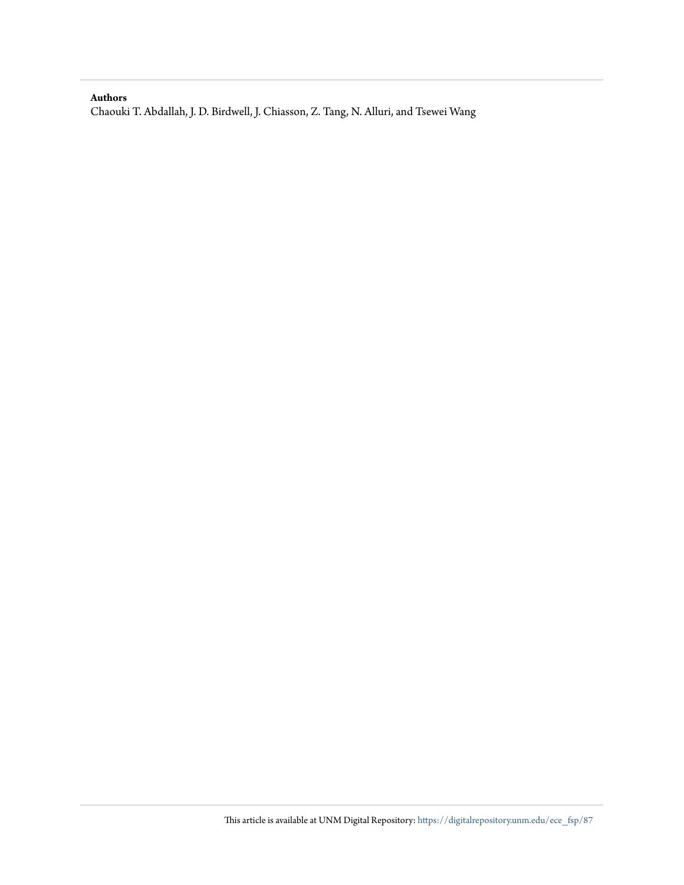#### **Authors**

Chaouki T. Abdallah, J. D. Birdwell, J. Chiasson, Z. Tang, N. Alluri, and Tsewei Wang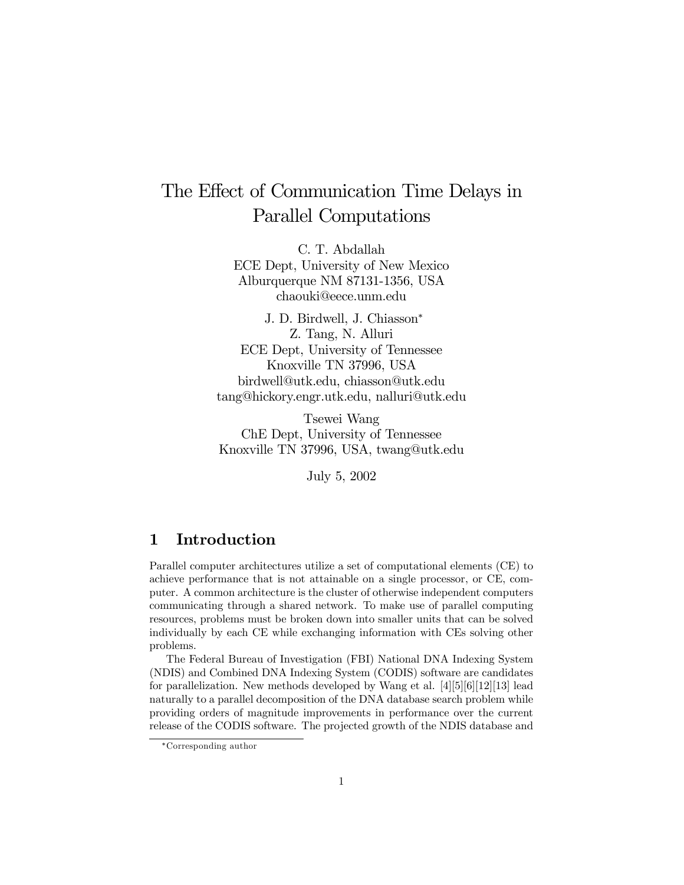# The Effect of Communication Time Delays in Parallel Computations

C. T. Abdallah ECE Dept, University of New Mexico Alburquerque NM 87131-1356, USA chaouki@eece.unm.edu

J. D. Birdwell, J. Chiasson<sup>∗</sup> Z. Tang, N. Alluri ECE Dept, University of Tennessee Knoxville TN 37996, USA birdwell@utk.edu, chiasson@utk.edu tang@hickory.engr.utk.edu, nalluri@utk.edu

Tsewei Wang ChE Dept, University of Tennessee Knoxville TN 37996, USA, twang@utk.edu

July 5, 2002

# 1 Introduction

Parallel computer architectures utilize a set of computational elements (CE) to achieve performance that is not attainable on a single processor, or CE, computer. A common architecture is the cluster of otherwise independent computers communicating through a shared network. To make use of parallel computing resources, problems must be broken down into smaller units that can be solved individually by each CE while exchanging information with CEs solving other problems.

The Federal Bureau of Investigation (FBI) National DNA Indexing System (NDIS) and Combined DNA Indexing System (CODIS) software are candidates for parallelization. New methods developed by Wang et al. [4][5][6][12][13] lead naturally to a parallel decomposition of the DNA database search problem while providing orders of magnitude improvements in performance over the current release of the CODIS software. The projected growth of the NDIS database and

<sup>∗</sup>Corresponding author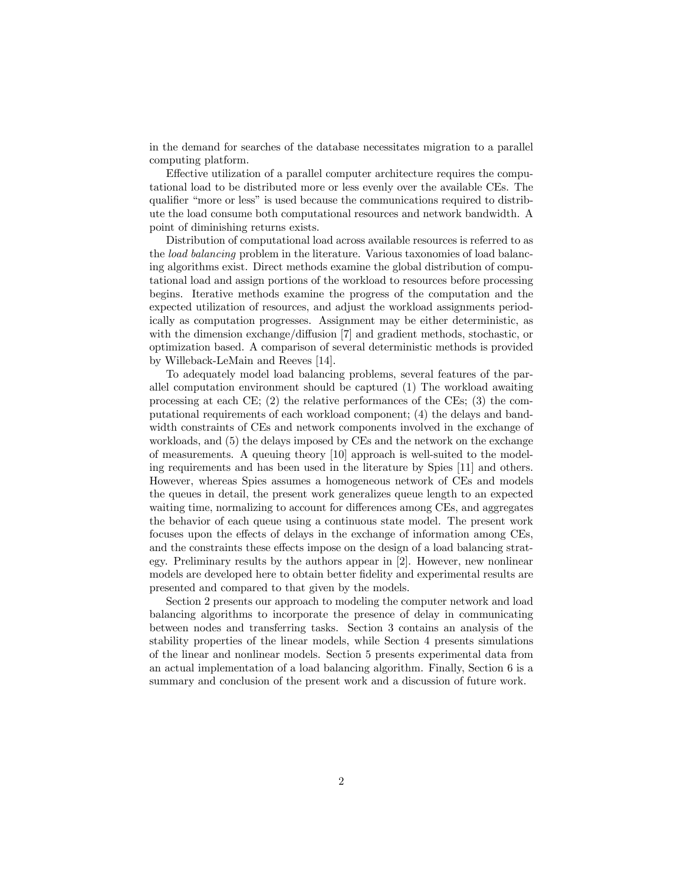in the demand for searches of the database necessitates migration to a parallel computing platform.

Effective utilization of a parallel computer architecture requires the computational load to be distributed more or less evenly over the available CEs. The qualifier "more or less" is used because the communications required to distribute the load consume both computational resources and network bandwidth. A point of diminishing returns exists.

Distribution of computational load across available resources is referred to as the load balancing problem in the literature. Various taxonomies of load balancing algorithms exist. Direct methods examine the global distribution of computational load and assign portions of the workload to resources before processing begins. Iterative methods examine the progress of the computation and the expected utilization of resources, and adjust the workload assignments periodically as computation progresses. Assignment may be either deterministic, as with the dimension exchange/diffusion [7] and gradient methods, stochastic, or optimization based. A comparison of several deterministic methods is provided by Willeback-LeMain and Reeves [14].

To adequately model load balancing problems, several features of the parallel computation environment should be captured (1) The workload awaiting processing at each CE; (2) the relative performances of the CEs; (3) the computational requirements of each workload component; (4) the delays and bandwidth constraints of CEs and network components involved in the exchange of workloads, and (5) the delays imposed by CEs and the network on the exchange of measurements. A queuing theory [10] approach is well-suited to the modeling requirements and has been used in the literature by Spies [11] and others. However, whereas Spies assumes a homogeneous network of CEs and models the queues in detail, the present work generalizes queue length to an expected waiting time, normalizing to account for differences among CEs, and aggregates the behavior of each queue using a continuous state model. The present work focuses upon the effects of delays in the exchange of information among CEs, and the constraints these effects impose on the design of a load balancing strategy. Preliminary results by the authors appear in [2]. However, new nonlinear models are developed here to obtain better fidelity and experimental results are presented and compared to that given by the models.

Section 2 presents our approach to modeling the computer network and load balancing algorithms to incorporate the presence of delay in communicating between nodes and transferring tasks. Section 3 contains an analysis of the stability properties of the linear models, while Section 4 presents simulations of the linear and nonlinear models. Section 5 presents experimental data from an actual implementation of a load balancing algorithm. Finally, Section 6 is a summary and conclusion of the present work and a discussion of future work.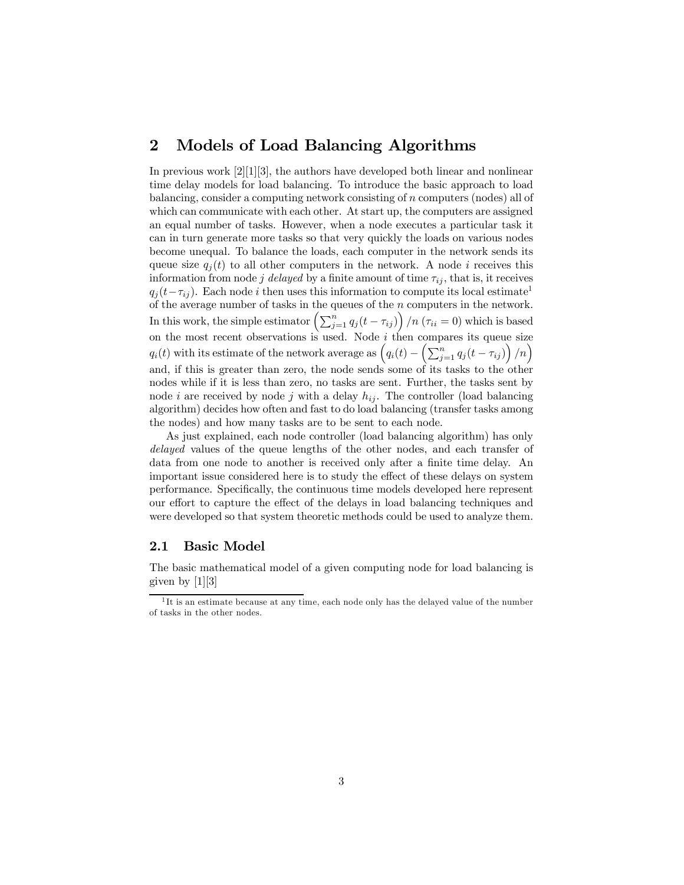# 2 Models of Load Balancing Algorithms

In previous work [2][1][3], the authors have developed both linear and nonlinear time delay models for load balancing. To introduce the basic approach to load balancing, consider a computing network consisting of n computers (nodes) all of which can communicate with each other. At start up, the computers are assigned an equal number of tasks. However, when a node executes a particular task it can in turn generate more tasks so that very quickly the loads on various nodes become unequal. To balance the loads, each computer in the network sends its queue size  $q_i(t)$  to all other computers in the network. A node i receives this information from node j delayed by a finite amount of time  $\tau_{ij}$ , that is, it receives  $q_i(t-\tau_{ij})$ . Each node i then uses this information to compute its local estimate<sup>1</sup> of the average number of tasks in the queues of the n computers in the network. In this work, the simple estimator  $\left(\sum_{j=1}^n q_j(t - \tau_{ij})\right) / n$   $(\tau_{ii} = 0)$  which is based on the most recent observations is used. Node  $i$  then compares its queue size  $q_i(t)$  with its estimate of the network average as  $(q_i(t) - \left(\sum_{j=1}^n q_j(t - \tau_{ij})\right)/n\right)$ and, if this is greater than zero, the node sends some of its tasks to the other nodes while if it is less than zero, no tasks are sent. Further, the tasks sent by node *i* are received by node *j* with a delay  $h_{ij}$ . The controller (load balancing algorithm) decides how often and fast to do load balancing (transfer tasks among the nodes) and how many tasks are to be sent to each node.

As just explained, each node controller (load balancing algorithm) has only delayed values of the queue lengths of the other nodes, and each transfer of data from one node to another is received only after a finite time delay. An important issue considered here is to study the effect of these delays on system performance. Specifically, the continuous time models developed here represent our effort to capture the effect of the delays in load balancing techniques and were developed so that system theoretic methods could be used to analyze them.

#### 2.1 Basic Model

The basic mathematical model of a given computing node for load balancing is given by [1][3]

<sup>&</sup>lt;sup>1</sup>It is an estimate because at any time, each node only has the delayed value of the number of tasks in the other nodes.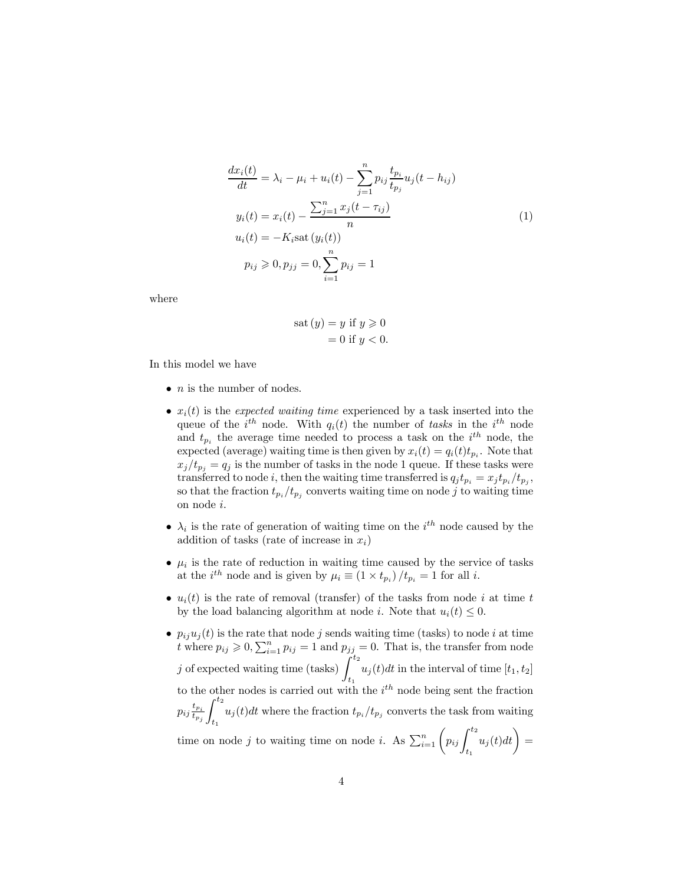$$
\frac{dx_i(t)}{dt} = \lambda_i - \mu_i + u_i(t) - \sum_{j=1}^n p_{ij} \frac{t_{p_i}}{t_{p_j}} u_j(t - h_{ij})
$$
  
\n
$$
y_i(t) = x_i(t) - \frac{\sum_{j=1}^n x_j(t - \tau_{ij})}{n}
$$
  
\n
$$
u_i(t) = -K_i \text{sat } (y_i(t))
$$
  
\n
$$
p_{ij} \geq 0, p_{jj} = 0, \sum_{i=1}^n p_{ij} = 1
$$
\n(1)

where

$$
sat (y) = y \text{ if } y \geqslant 0
$$

$$
= 0 \text{ if } y < 0.
$$

In this model we have

- $\bullet$  *n* is the number of nodes.
- $x_i(t)$  is the expected waiting time experienced by a task inserted into the queue of the  $i^{th}$  node. With  $q_i(t)$  the number of tasks in the  $i^{th}$  node and  $t_{p_i}$  the average time needed to process a task on the  $i^{th}$  node, the expected (average) waiting time is then given by  $x_i(t) = q_i(t)t_{p_i}$ . Note that  $x_j/t_{p_i} = q_i$  is the number of tasks in the node 1 queue. If these tasks were transferred to node i, then the waiting time transferred is  $q_j t_{p_i} = x_j t_{p_i} / t_{p_j}$ , so that the fraction  $t_{p_i}/t_{p_j}$  converts waiting time on node j to waiting time on node i.
- $\lambda_i$  is the rate of generation of waiting time on the  $i^{th}$  node caused by the addition of tasks (rate of increase in  $x_i$ )
- $\mu_i$  is the rate of reduction in waiting time caused by the service of tasks at the  $i^{th}$  node and is given by  $\mu_i \equiv (1 \times t_{p_i})/t_{p_i} = 1$  for all i.
- $u_i(t)$  is the rate of removal (transfer) of the tasks from node i at time t by the load balancing algorithm at node *i*. Note that  $u_i(t) \leq 0$ .
- $p_{ij}u_j(t)$  is the rate that node j sends waiting time (tasks) to node i at time t where  $p_{ij} \geqslant 0$ ,  $\sum_{i=1}^{n} p_{ij} = 1$  and  $p_{jj} = 0$ . That is, the transfer from node j of expected waiting time (tasks)  $\int^{t_2}$  $t_1$  $u_j(t)dt$  in the interval of time  $[t_1, t_2]$ to the other nodes is carried out with the  $i<sup>th</sup>$  node being sent the fraction  $p_{ij}\frac{t_{p_i}}{t_{p_i}}$  $t_{p_j}$  $\int_0^{t_2}$  $\int_{t_1} u_j(t)dt$  where the fraction  $t_{p_i}/t_{p_j}$  converts the task from waiting time on node j to waiting time on node i. As  $\sum_{i=1}^{n} \left( p_{ij} \int_{0}^{t_2}$  $t_1$  $u_j(t)dt\bigg) =$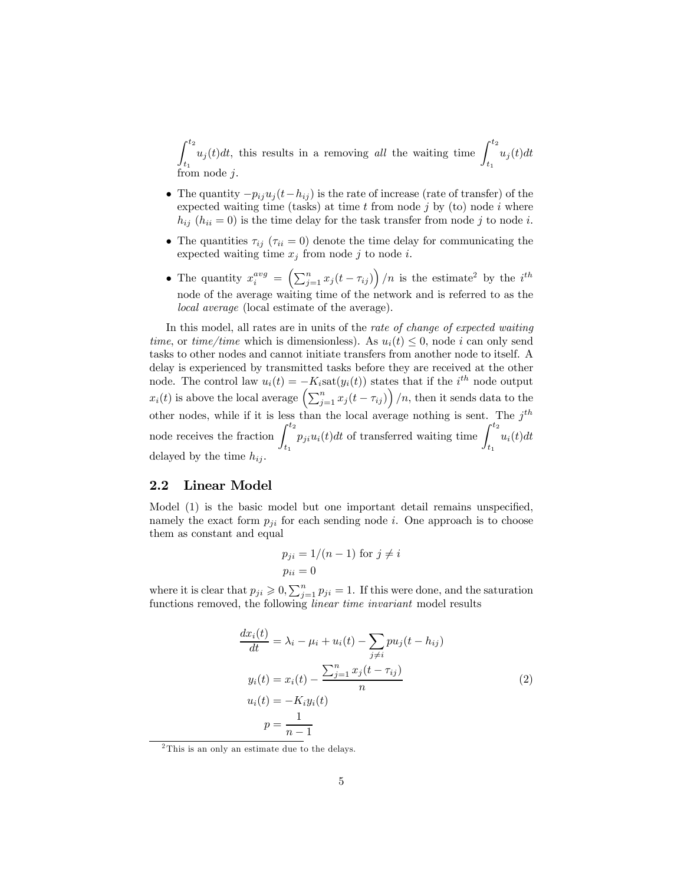$\int_0^t$  $t_1$  $u_j(t)dt$ , this results in a removing all the waiting time  $\int^{t_2}$  $t_1$  $u_j(t)dt$ from node  $i$ 

- The quantity  $-p_{ij}u_j(t-h_{ij})$  is the rate of increase (rate of transfer) of the expected waiting time (tasks) at time  $t$  from node  $j$  by (to) node  $i$  where  $h_{ij}$  ( $h_{ii} = 0$ ) is the time delay for the task transfer from node j to node i.
- The quantities  $\tau_{ij}$  ( $\tau_{ii} = 0$ ) denote the time delay for communicating the expected waiting time  $x_j$  from node j to node i.
- The quantity  $x_i^{avg} = \left(\sum_{j=1}^n x_j(t-\tau_{ij})\right)/n$  is the estimate<sup>2</sup> by the i<sup>th</sup> node of the average waiting time of the network and is referred to as the local average (local estimate of the average).

In this model, all rates are in units of the rate of change of expected waiting time, or time/time which is dimensionless). As  $u_i(t) \leq 0$ , node i can only send tasks to other nodes and cannot initiate transfers from another node to itself. A delay is experienced by transmitted tasks before they are received at the other node. The control law  $u_i(t) = -K_i \text{sat}(y_i(t))$  states that if the  $i^{th}$  node output  $x_i(t)$  is above the local average  $\left(\sum_{j=1}^n x_j(t - \tau_{ij})\right)/n$ , then it sends data to the other nodes, while if it is less than the local average nothing is sent. The  $j^{th}$ node receives the fraction  $\int^{t_2}$  $t_1$  $p_{ji}u_i(t)dt$  of transferred waiting time  $\int^{t_2}$  $t_1$  $u_i(t)dt$ delayed by the time  $h_{ij}$ .

#### 2.2 Linear Model

Model (1) is the basic model but one important detail remains unspecified, namely the exact form  $p_{ji}$  for each sending node i. One approach is to choose them as constant and equal

$$
p_{ji} = 1/(n-1)
$$
 for  $j \neq i$   

$$
p_{ii} = 0
$$

where it is clear that  $p_{ji} \geqslant 0$ ,  $\sum_{j=1}^{n} p_{ji} = 1$ . If this were done, and the saturation functions removed, the following linear time invariant model results

$$
\frac{dx_i(t)}{dt} = \lambda_i - \mu_i + u_i(t) - \sum_{j \neq i} p u_j(t - h_{ij})
$$
  

$$
y_i(t) = x_i(t) - \frac{\sum_{j=1}^n x_j(t - \tau_{ij})}{n}
$$
  

$$
u_i(t) = -K_i y_i(t)
$$
  

$$
p = \frac{1}{n-1}
$$
 (2)

<sup>2</sup>This is an only an estimate due to the delays.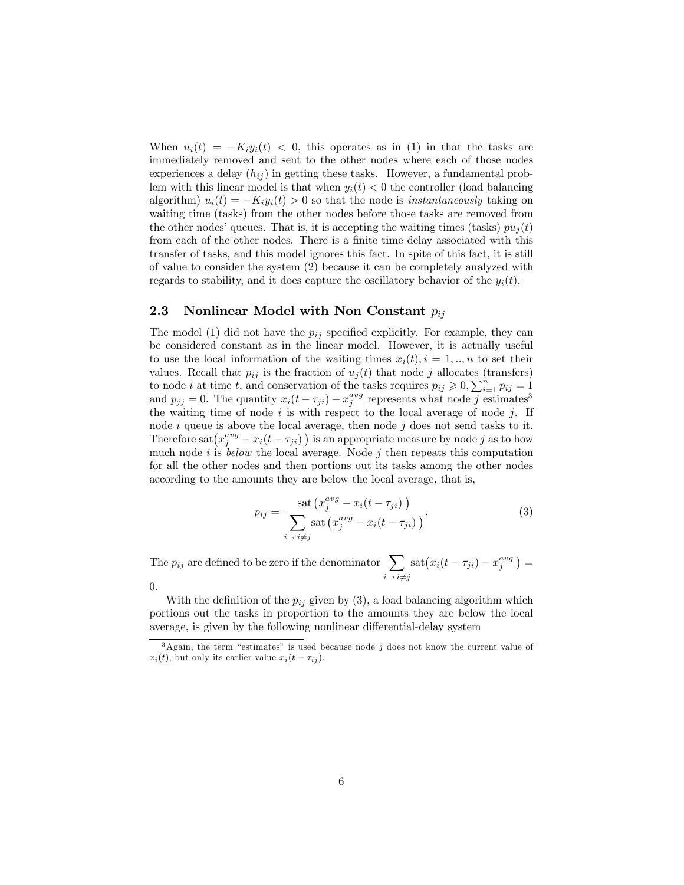When  $u_i(t) = -K_i y_i(t) < 0$ , this operates as in (1) in that the tasks are immediately removed and sent to the other nodes where each of those nodes experiences a delay  $(h_{ij})$  in getting these tasks. However, a fundamental problem with this linear model is that when  $y_i(t) < 0$  the controller (load balancing algorithm)  $u_i(t) = -K_i y_i(t) > 0$  so that the node is *instantaneously* taking on waiting time (tasks) from the other nodes before those tasks are removed from the other nodes' queues. That is, it is accepting the waiting times (tasks)  $pu_i(t)$ from each of the other nodes. There is a finite time delay associated with this transfer of tasks, and this model ignores this fact. In spite of this fact, it is still of value to consider the system (2) because it can be completely analyzed with regards to stability, and it does capture the oscillatory behavior of the  $y_i(t)$ .

#### 2.3 Nonlinear Model with Non Constant  $p_{ij}$

The model (1) did not have the  $p_{ij}$  specified explicitly. For example, they can be considered constant as in the linear model. However, it is actually useful to use the local information of the waiting times  $x_i(t), i = 1, ..., n$  to set their values. Recall that  $p_{ij}$  is the fraction of  $u_j(t)$  that node j allocates (transfers) to node *i* at time *t*, and conservation of the tasks requires  $p_{ij} \geqslant 0, \sum_{i=1}^{n} p_{ij} = 1$ and  $p_{jj} = 0$ . The quantity  $x_i(t - \tau_{ji}) - x_j^{avg}$  represents what node j estimates<sup>3</sup> the waiting time of node  $i$  is with respect to the local average of node  $j$ . If node  $i$  queue is above the local average, then node  $j$  does not send tasks to it. Therefore  $\text{sat}(x_j^{avg} - x_i(t - \tau_{ji}))$  is an appropriate measure by node j as to how much node  $i$  is *below* the local average. Node  $j$  then repeats this computation for all the other nodes and then portions out its tasks among the other nodes according to the amounts they are below the local average, that is,

$$
p_{ij} = \frac{\text{sat}\left(x_j^{avg} - x_i(t - \tau_{ji})\right)}{\sum\limits_{i \text{ s } i \neq j} \text{sat}\left(x_j^{avg} - x_i(t - \tau_{ji})\right)}.
$$
\n(3)

The  $p_{ij}$  are defined to be zero if the denominator  $\sum$  $i \ni i \neq j$  $\mathrm{sat}(x_i(t-\tau_{ji})-x_j^{avg})=$ 0.

With the definition of the  $p_{ij}$  given by (3), a load balancing algorithm which portions out the tasks in proportion to the amounts they are below the local average, is given by the following nonlinear differential-delay system

 $3$ Again, the term "estimates" is used because node j does not know the current value of  $x_i(t)$ , but only its earlier value  $x_i(t - \tau_{ij})$ .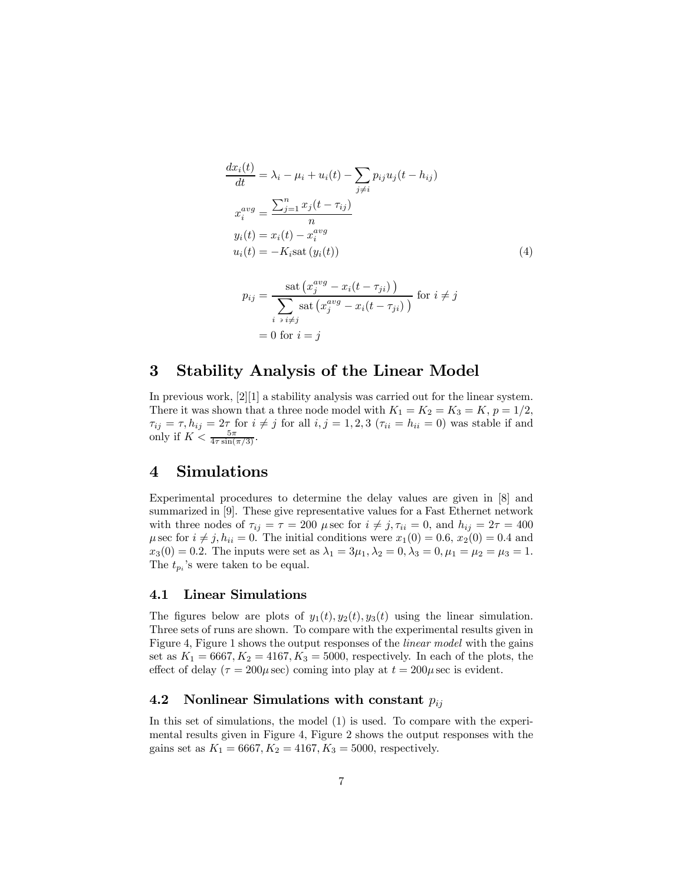$$
\frac{dx_i(t)}{dt} = \lambda_i - \mu_i + u_i(t) - \sum_{j \neq i} p_{ij} u_j(t - h_{ij})
$$
  
\n
$$
x_i^{avg} = \frac{\sum_{j=1}^n x_j(t - \tau_{ij})}{n}
$$
  
\n
$$
y_i(t) = x_i(t) - x_i^{avg}
$$
  
\n
$$
u_i(t) = -K_i \text{sat}(y_i(t))
$$
  
\n
$$
\text{sat}(x_i^{avg} - x_i(t - \tau_{ii}))
$$
\n(4)

$$
p_{ij} = \frac{\text{sat}\left(x_j^{avg} - x_i(t - \tau_{ji})\right)}{\sum_{i \text{ s } i \neq j} \text{sat}\left(x_j^{avg} - x_i(t - \tau_{ji})\right)} \text{ for } i \neq j
$$

$$
= 0 \text{ for } i = j
$$

# 3 Stability Analysis of the Linear Model

In previous work, [2][1] a stability analysis was carried out for the linear system. There it was shown that a three node model with  $K_1 = K_2 = K_3 = K$ ,  $p = 1/2$ ,  $\tau_{ij} = \tau, h_{ij} = 2\tau$  for  $i \neq j$  for all  $i, j = 1, 2, 3$  ( $\tau_{ii} = h_{ii} = 0$ ) was stable if and only if  $K < \frac{5\pi}{4\tau \sin(\pi/3)}$ .

# 4 Simulations

Experimental procedures to determine the delay values are given in [8] and summarized in [9]. These give representative values for a Fast Ethernet network with three nodes of  $\tau_{ij} = \tau = 200 \mu \sec \text{ for } i \neq j, \tau_{ii} = 0$ , and  $h_{ij} = 2\tau = 400$  $\mu$  sec for  $i \neq j$ ,  $h_{ii} = 0$ . The initial conditions were  $x_1(0) = 0.6$ ,  $x_2(0) = 0.4$  and  $x_3(0) = 0.2$ . The inputs were set as  $\lambda_1 = 3\mu_1, \lambda_2 = 0, \lambda_3 = 0, \mu_1 = \mu_2 = \mu_3 = 1$ . The  $t_{p_i}$ 's were taken to be equal.

#### 4.1 Linear Simulations

The figures below are plots of  $y_1(t), y_2(t), y_3(t)$  using the linear simulation. Three sets of runs are shown. To compare with the experimental results given in Figure 4, Figure 1 shows the output responses of the linear model with the gains set as  $K_1 = 6667, K_2 = 4167, K_3 = 5000$ , respectively. In each of the plots, the effect of delay ( $\tau = 200\mu$  sec) coming into play at  $t = 200\mu$  sec is evident.

#### 4.2 Nonlinear Simulations with constant  $p_{ij}$

In this set of simulations, the model (1) is used. To compare with the experimental results given in Figure 4, Figure 2 shows the output responses with the gains set as  $K_1 = 6667, K_2 = 4167, K_3 = 5000$ , respectively.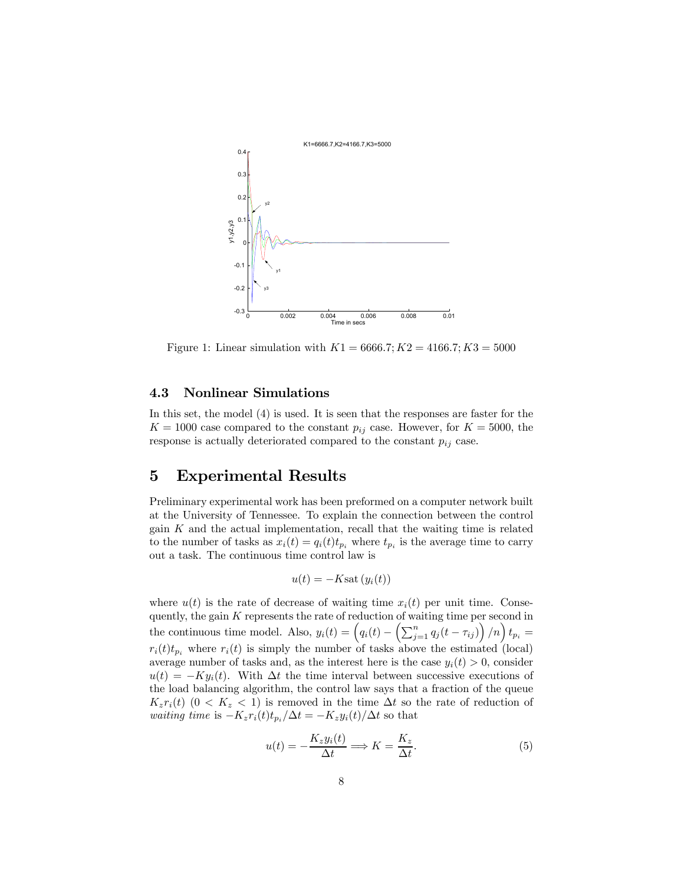

Figure 1: Linear simulation with  $K1 = 6666.7$ ;  $K2 = 4166.7$ ;  $K3 = 5000$ 

#### 4.3 Nonlinear Simulations

In this set, the model (4) is used. It is seen that the responses are faster for the  $K = 1000$  case compared to the constant  $p_{ij}$  case. However, for  $K = 5000$ , the response is actually deteriorated compared to the constant  $p_{ij}$  case.

# 5 Experimental Results

Preliminary experimental work has been preformed on a computer network built at the University of Tennessee. To explain the connection between the control gain  $K$  and the actual implementation, recall that the waiting time is related to the number of tasks as  $x_i(t) = q_i(t)t_{p_i}$  where  $t_{p_i}$  is the average time to carry out a task. The continuous time control law is

$$
u(t) = -K \text{sat} \left( y_i(t) \right)
$$

where  $u(t)$  is the rate of decrease of waiting time  $x_i(t)$  per unit time. Consequently, the gain  $K$  represents the rate of reduction of waiting time per second in the continuous time model. Also,  $y_i(t) = \left(q_i(t) - \left(\sum_{j=1}^n q_j(t - \tau_{ij})\right)/n\right) t_{p_i} =$  $r_i(t)t_p$ , where  $r_i(t)$  is simply the number of tasks above the estimated (local) average number of tasks and, as the interest here is the case  $y_i(t) > 0$ , consider  $u(t) = -Ky_i(t)$ . With  $\Delta t$  the time interval between successive executions of the load balancing algorithm, the control law says that a fraction of the queue  $K_zr_i(t)$  (0 <  $K_z$  < 1) is removed in the time  $\Delta t$  so the rate of reduction of waiting time is  $-K_zr_i(t)t_{p_i}/\Delta t = -K_zy_i(t)/\Delta t$  so that

$$
u(t) = -\frac{K_z y_i(t)}{\Delta t} \Longrightarrow K = \frac{K_z}{\Delta t}.
$$
\n(5)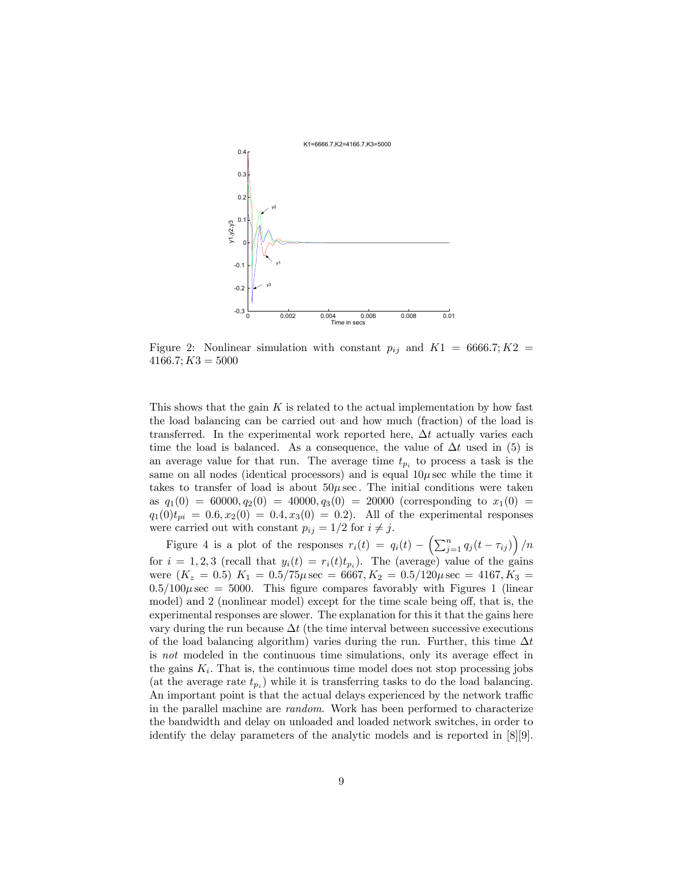

Figure 2: Nonlinear simulation with constant  $p_{ij}$  and  $K1 = 6666.7; K2 =$  $4166.7; K3 = 5000$ 

This shows that the gain  $K$  is related to the actual implementation by how fast the load balancing can be carried out and how much (fraction) of the load is transferred. In the experimental work reported here,  $\Delta t$  actually varies each time the load is balanced. As a consequence, the value of  $\Delta t$  used in (5) is an average value for that run. The average time  $t_{p_i}$  to process a task is the same on all nodes (identical processors) and is equal  $10\mu$  sec while the time it takes to transfer of load is about  $50\mu$  sec. The initial conditions were taken as  $q_1(0) = 60000, q_2(0) = 40000, q_3(0) = 20000$  (corresponding to  $x_1(0) =$  $q_1(0)t_{pi} = 0.6, x_2(0) = 0.4, x_3(0) = 0.2$ . All of the experimental responses were carried out with constant  $p_{ij} = 1/2$  for  $i \neq j$ .

Figure 4 is a plot of the responses  $r_i(t) = q_i(t) - \left(\sum_{j=1}^n q_j(t - \tau_{ij})\right)/n$ for  $i = 1, 2, 3$  (recall that  $y_i(t) = r_i(t)t_{p_i}$ ). The (average) value of the gains were  $(K_z = 0.5) K_1 = 0.5/75 \mu \sec = 6667, K_2 = 0.5/120 \mu \sec = 4167, K_3 =$  $0.5/100\mu$  sec = 5000. This figure compares favorably with Figures 1 (linear model) and 2 (nonlinear model) except for the time scale being off, that is, the experimental responses are slower. The explanation for this it that the gains here vary during the run because  $\Delta t$  (the time interval between successive executions of the load balancing algorithm) varies during the run. Further, this time  $\Delta t$ is not modeled in the continuous time simulations, only its average effect in the gains  $K_i$ . That is, the continuous time model does not stop processing jobs (at the average rate  $t_{pi}$ ) while it is transferring tasks to do the load balancing. An important point is that the actual delays experienced by the network traffic in the parallel machine are random. Work has been performed to characterize the bandwidth and delay on unloaded and loaded network switches, in order to identify the delay parameters of the analytic models and is reported in [8][9].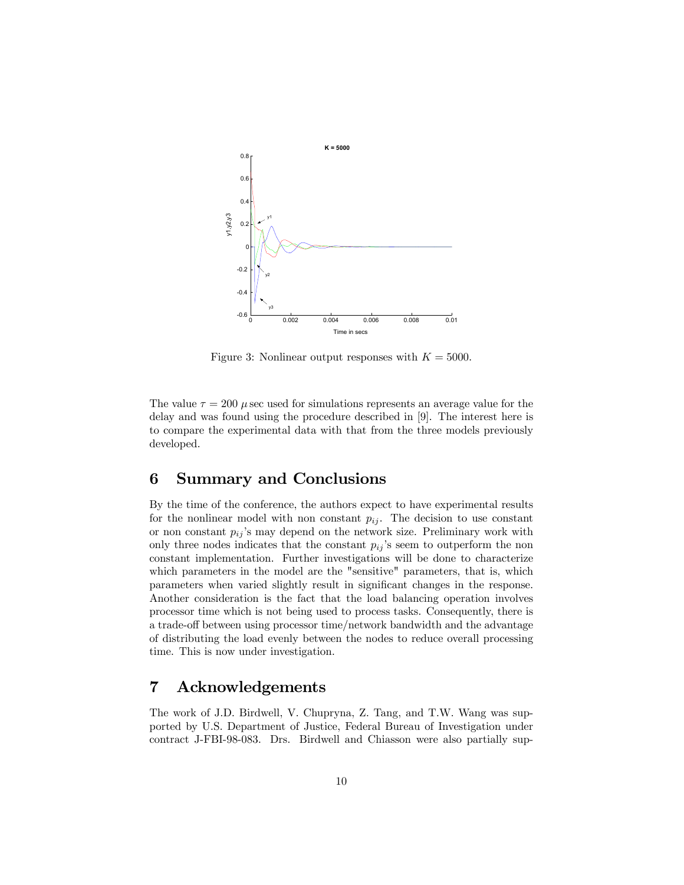

Figure 3: Nonlinear output responses with  $K = 5000$ .

The value  $\tau = 200 \mu$  secused for simulations represents an average value for the delay and was found using the procedure described in [9]. The interest here is to compare the experimental data with that from the three models previously developed.

# 6 Summary and Conclusions

By the time of the conference, the authors expect to have experimental results for the nonlinear model with non constant  $p_{ij}$ . The decision to use constant or non constant  $p_{ij}$ 's may depend on the network size. Preliminary work with only three nodes indicates that the constant  $p_{ij}$ 's seem to outperform the non constant implementation. Further investigations will be done to characterize which parameters in the model are the "sensitive" parameters, that is, which parameters when varied slightly result in significant changes in the response. Another consideration is the fact that the load balancing operation involves processor time which is not being used to process tasks. Consequently, there is a trade-off between using processor time/network bandwidth and the advantage of distributing the load evenly between the nodes to reduce overall processing time. This is now under investigation.

# 7 Acknowledgements

The work of J.D. Birdwell, V. Chupryna, Z. Tang, and T.W. Wang was supported by U.S. Department of Justice, Federal Bureau of Investigation under contract J-FBI-98-083. Drs. Birdwell and Chiasson were also partially sup-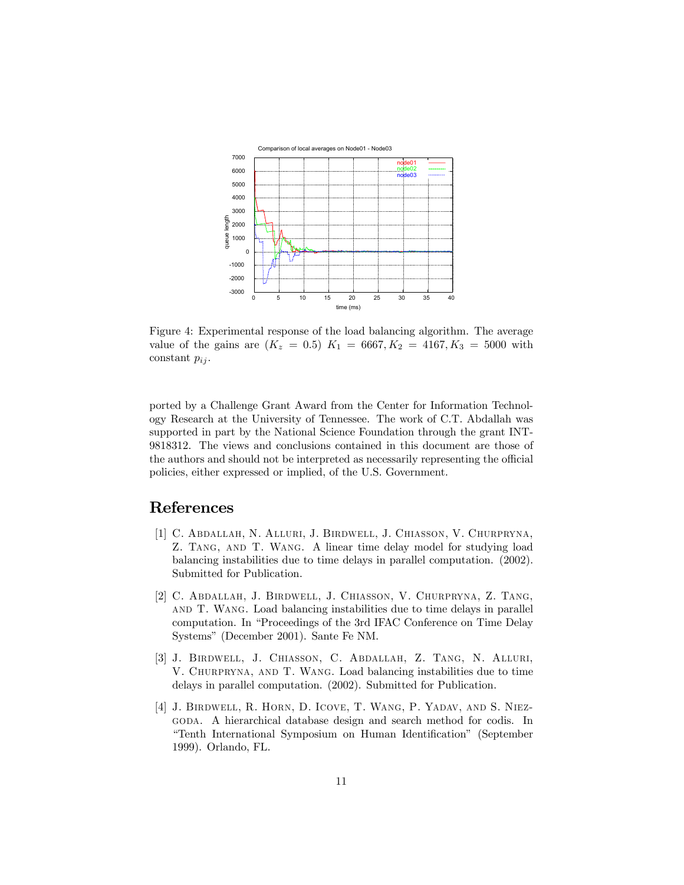

Figure 4: Experimental response of the load balancing algorithm. The average value of the gains are  $(K_z = 0.5)$   $K_1 = 6667, K_2 = 4167, K_3 = 5000$  with constant  $p_{ij}$ .

ported by a Challenge Grant Award from the Center for Information Technology Research at the University of Tennessee. The work of C.T. Abdallah was supported in part by the National Science Foundation through the grant INT-9818312. The views and conclusions contained in this document are those of the authors and should not be interpreted as necessarily representing the official policies, either expressed or implied, of the U.S. Government.

# References

- [1] C. Abdallah, N. Alluri, J. Birdwell, J. Chiasson, V. Churpryna, Z. Tang, and T. Wang. A linear time delay model for studying load balancing instabilities due to time delays in parallel computation. (2002). Submitted for Publication.
- [2] C. Abdallah, J. Birdwell, J. Chiasson, V. Churpryna, Z. Tang, and T. Wang. Load balancing instabilities due to time delays in parallel computation. In "Proceedings of the 3rd IFAC Conference on Time Delay Systemsî (December 2001). Sante Fe NM.
- [3] J. Birdwell, J. Chiasson, C. Abdallah, Z. Tang, N. Alluri, V. Churpryna, and T. Wang. Load balancing instabilities due to time delays in parallel computation. (2002). Submitted for Publication.
- [4] J. Birdwell, R. Horn, D. Icove, T. Wang, P. Yadav, and S. Niezgoda. A hierarchical database design and search method for codis. In ìTenth International Symposium on Human Identificationî (September 1999). Orlando, FL.